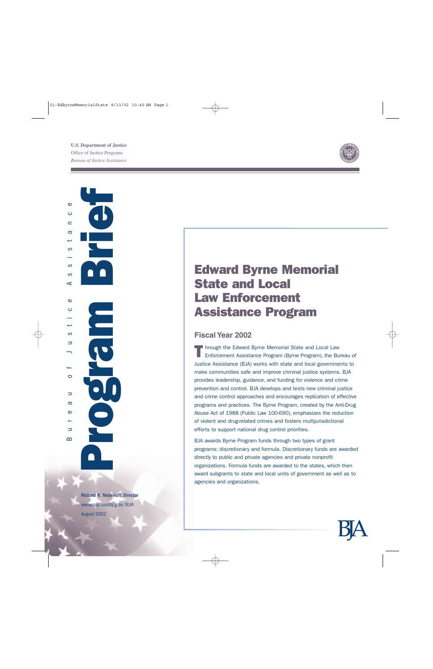

Program Brief Bureau of Justice Assistance  $\bullet$ د  $\blacksquare$  $\sigma$  $\mathbf{O}$  $\Omega$ ဖာ  $\prec$  $\omega$  $\ddot{\circ}$ ىپ  $\mathbf{O}$  $\Rightarrow$  $\circ$  $\Rightarrow$  $\sigma$  $\bullet$  $\Rightarrow$  $\mathbf{\Omega}$ 

ar<sub>1</sub>

Richard R. Nedelkoff, Director *www.ojp.usdoj.gov/BJA* August 2002

# Edward Byrne Memorial State and Local Law Enforcement Assistance Program

### **Fiscal Year 2002**

Through the Edward Byrne Memorial State and Local Law<br>Enforcement Assistance Program (Byrne Program), the Bureau of Justice Assistance (BJA) works with state and local governments to make communities safe and improve criminal justice systems. BJA provides leadership, guidance, and funding for violence and crime prevention and control. BJA develops and tests new criminal justice and crime control approaches and encourages replication of effective programs and practices. The Byrne Program, created by the Anti-Drug Abuse Act of 1988 (Public Law 100-690), emphasizes the reduction of violent and drug-related crimes and fosters multijurisdictional efforts to support national drug control priorities.

BJA awards Byrne Program funds through two types of grant programs: discretionary and formula. Discretionary funds are awarded directly to public and private agencies and private nonprofit organizations. Formula funds are awarded to the states, which then award subgrants to state and local units of government as well as to agencies and organizations.

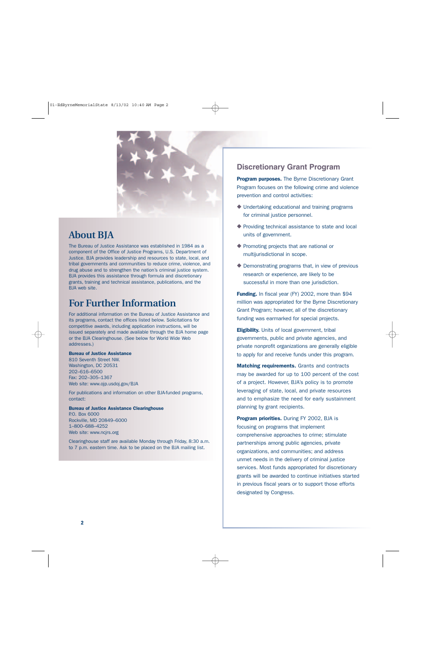

## **About BJA**

The Bureau of Justice Assistance was established in 1984 as a component of the Office of Justice Programs, U.S. Department of Justice. BJA provides leadership and resources to state, local, and tribal governments and communities to reduce crime, violence, and drug abuse and to strengthen the nation's criminal justice system. BJA provides this assistance through formula and discretionary grants, training and technical assistance, publications, and the BJA web site.

## **For Further Information**

For additional information on the Bureau of Justice Assistance and its programs, contact the offices listed below. Solicitations for competitive awards, including application instructions, will be issued separately and made available through the BJA home page or the BJA Clearinghouse. (See below for World Wide Web addresses.)

#### Bureau of Justice Assistance

810 Seventh Street NW. Washington, DC 20531 202–616–6500 Fax: 202–305–1367 Web site: www.ojp.usdoj.gov/BJA

For publications and information on other BJA-funded programs, contact:

#### Bureau of Justice Assistance Clearinghouse

P.O. Box 6000 Rockville, MD 20849–6000 1–800–688–4252 Web site: www.ncjrs.org

Clearinghouse staff are available Monday through Friday, 8:30 a.m. to 7 p.m. eastern time. Ask to be placed on the BJA mailing list.

#### **Discretionary Grant Program**

**Program purposes.** The Byrne Discretionary Grant Program focuses on the following crime and violence prevention and control activities:

- ◆ Undertaking educational and training programs for criminal justice personnel.
- ◆ Providing technical assistance to state and local units of government.
- ◆ Promoting projects that are national or multijurisdictional in scope.
- ◆ Demonstrating programs that, in view of previous research or experience, are likely to be successful in more than one jurisdiction.

Funding. In fiscal year (FY) 2002, more than \$94 million was appropriated for the Byrne Discretionary Grant Program; however, all of the discretionary funding was earmarked for special projects.

**Eligibility.** Units of local government, tribal governments, public and private agencies, and private nonprofit organizations are generally eligible to apply for and receive funds under this program.

**Matching requirements.** Grants and contracts may be awarded for up to 100 percent of the cost of a project. However, BJA's policy is to promote leveraging of state, local, and private resources and to emphasize the need for early sustainment planning by grant recipients.

Program priorities. During FY 2002, BJA is focusing on programs that implement comprehensive approaches to crime; stimulate partnerships among public agencies, private organizations, and communities; and address unmet needs in the delivery of criminal justice services. Most funds appropriated for discretionary grants will be awarded to continue initiatives started in previous fiscal years or to support those efforts designated by Congress.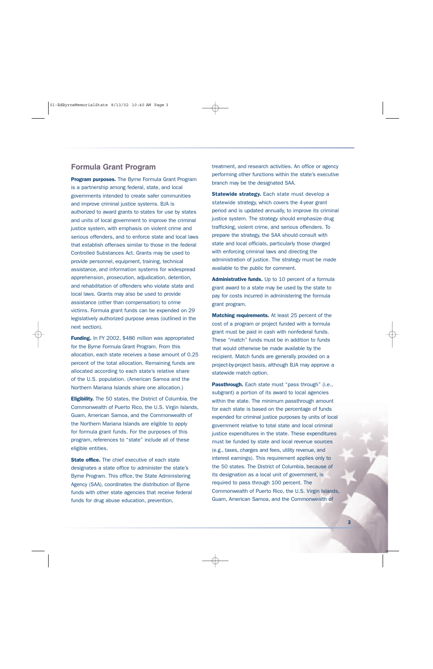#### **Formula Grant Program**

Program purposes. The Byrne Formula Grant Program is a partnership among federal, state, and local governments intended to create safer communities and improve criminal justice systems. BJA is authorized to award grants to states for use by states and units of local government to improve the criminal justice system, with emphasis on violent crime and serious offenders, and to enforce state and local laws that establish offenses similar to those in the federal Controlled Substances Act. Grants may be used to provide personnel, equipment, training, technical assistance, and information systems for widespread apprehension, prosecution, adjudication, detention, and rehabilitation of offenders who violate state and local laws. Grants may also be used to provide assistance (other than compensation) to crime victims. Formula grant funds can be expended on 29 legislatively authorized purpose areas (outlined in the next section).

Funding. In FY 2002, \$486 million was appropriated for the Byrne Formula Grant Program. From this allocation, each state receives a base amount of 0.25 percent of the total allocation. Remaining funds are allocated according to each state's relative share of the U.S. population. (American Samoa and the Northern Mariana Islands share one allocation.)

Eligibility. The 50 states, the District of Columbia, the Commonwealth of Puerto Rico, the U.S. Virgin Islands, Guam, American Samoa, and the Commonwealth of the Northern Mariana Islands are eligible to apply for formula grant funds. For the purposes of this program, references to "state" include all of these eligible entities.

**State office.** The chief executive of each state designates a state office to administer the state's Byrne Program. This office, the State Administering Agency (SAA), coordinates the distribution of Byrne funds with other state agencies that receive federal funds for drug abuse education, prevention,

treatment, and research activities. An office or agency performing other functions within the state's executive branch may be the designated SAA.

**Statewide strategy.** Each state must develop a statewide strategy, which covers the 4-year grant period and is updated annually, to improve its criminal justice system. The strategy should emphasize drug trafficking, violent crime, and serious offenders. To prepare the strategy, the SAA should consult with state and local officials, particularly those charged with enforcing criminal laws and directing the administration of justice. The strategy must be made available to the public for comment.

Administrative funds. Up to 10 percent of a formula grant award to a state may be used by the state to pay for costs incurred in administering the formula grant program.

**Matching requirements.** At least 25 percent of the cost of a program or project funded with a formula grant must be paid in cash with nonfederal funds. These "match" funds must be in addition to funds that would otherwise be made available by the recipient. Match funds are generally provided on a project-by-project basis, although BJA may approve a statewide match option.

Passthrough. Each state must "pass through" (i.e., subgrant) a portion of its award to local agencies within the state. The minimum passthrough amount for each state is based on the percentage of funds expended for criminal justice purposes by units of local government relative to total state and local criminal justice expenditures in the state. These expenditures must be funded by state and local revenue sources (e.g., taxes, charges and fees, utility revenue, and interest earnings). This requirement applies only to the 50 states. The District of Columbia, because of its designation as a local unit of government, is required to pass through 100 percent. The Commonwealth of Puerto Rico, the U.S. Virgin Islands, Guam, American Samoa, and the Commonwealth of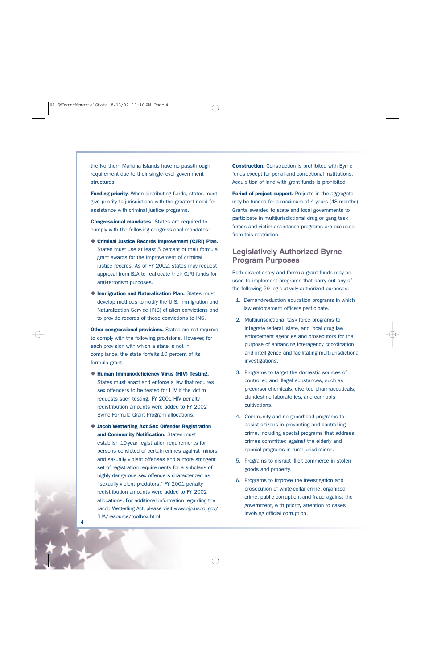the Northern Mariana Islands have no passthrough requirement due to their single-level government structures.

**Funding priority.** When distributing funds, states must give priority to jurisdictions with the greatest need for assistance with criminal justice programs.

Congressional mandates. States are required to comply with the following congressional mandates:

- ◆ Criminal Justice Records Improvement (CJRI) Plan. States must use at least 5 percent of their formula grant awards for the improvement of criminal justice records. As of FY 2002, states may request approval from BJA to reallocate their CJRI funds for anti-terrorism purposes.
- ◆ Immigration and Naturalization Plan. States must develop methods to notify the U.S. Immigration and Naturalization Service (INS) of alien convictions and to provide records of those convictions to INS.

Other congressional provisions. States are not required to comply with the following provisions. However, for each provision with which a state is not in compliance, the state forfeits 10 percent of its formula grant.

- ◆ Human Immunodeficiency Virus (HIV) Testing. States must enact and enforce a law that requires sex offenders to be tested for HIV if the victim requests such testing. FY 2001 HIV penalty redistribution amounts were added to FY 2002 Byrne Formula Grant Program allocations.
- ◆ Jacob Wetterling Act Sex Offender Registration and Community Notification. States must establish 10-year registration requirements for persons convicted of certain crimes against minors and sexually violent offenses and a more stringent set of registration requirements for a subclass of highly dangerous sex offenders characterized as "sexually violent predators." FY 2001 penalty redistribution amounts were added to FY 2002 allocations. For additional information regarding the Jacob Wetterling Act, please visit www.ojp.usdoj.gov/ BJA/resource/toolbox.html.

**Construction.** Construction is prohibited with Byrne funds except for penal and correctional institutions. Acquisition of land with grant funds is prohibited.

Period of project support. Projects in the aggregate may be funded for a maximum of 4 years (48 months). Grants awarded to state and local governments to participate in multijurisdictional drug or gang task forces and victim assistance programs are excluded from this restriction.

#### **Legislatively Authorized Byrne Program Purposes**

Both discretionary and formula grant funds may be used to implement programs that carry out any of the following 29 legislatively authorized purposes:

- 1. Demand-reduction education programs in which law enforcement officers participate.
- 2. Multijurisdictional task force programs to integrate federal, state, and local drug law enforcement agencies and prosecutors for the purpose of enhancing interagency coordination and intelligence and facilitating multijurisdictional investigations.
- 3. Programs to target the domestic sources of controlled and illegal substances, such as precursor chemicals, diverted pharmaceuticals, clandestine laboratories, and cannabis cultivations.
- 4. Community and neighborhood programs to assist citizens in preventing and controlling crime, including special programs that address crimes committed against the elderly and special programs in rural jurisdictions.
- 5. Programs to disrupt illicit commerce in stolen goods and property.
- 6. Programs to improve the investigation and prosecution of white-collar crime, organized crime, public corruption, and fraud against the government, with priority attention to cases involving official corruption.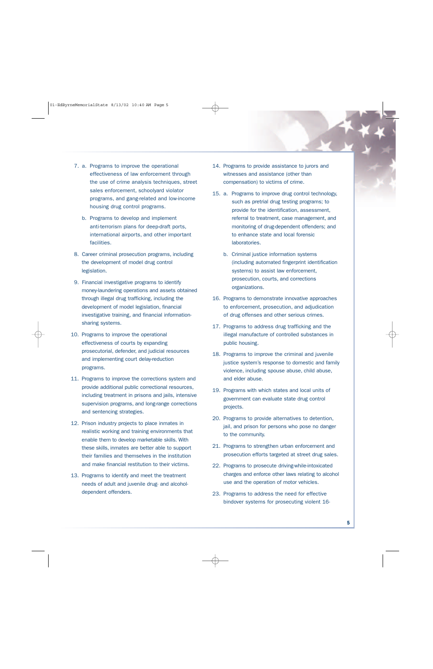- 7. a. Programs to improve the operational effectiveness of law enforcement through the use of crime analysis techniques, street sales enforcement, schoolyard violator programs, and gang-related and low-income housing drug control programs.
	- b. Programs to develop and implement anti-terrorism plans for deep-draft ports, international airports, and other important facilities.
- 8. Career criminal prosecution programs, including the development of model drug control legislation.
- 9. Financial investigative programs to identify money-laundering operations and assets obtained through illegal drug trafficking, including the development of model legislation, financial investigative training, and financial informationsharing systems.
- 10. Programs to improve the operational effectiveness of courts by expanding prosecutorial, defender, and judicial resources and implementing court delay-reduction programs.
- 11. Programs to improve the corrections system and provide additional public correctional resources, including treatment in prisons and jails, intensive supervision programs, and long-range corrections and sentencing strategies.
- 12. Prison industry projects to place inmates in realistic working and training environments that enable them to develop marketable skills. With these skills, inmates are better able to support their families and themselves in the institution and make financial restitution to their victims.
- 13. Programs to identify and meet the treatment needs of adult and juvenile drug- and alcoholdependent offenders.
- 14. Programs to provide assistance to jurors and witnesses and assistance (other than compensation) to victims of crime.
- 15. a. Programs to improve drug control technology, such as pretrial drug testing programs; to provide for the identification, assessment, referral to treatment, case management, and monitoring of drug-dependent offenders; and to enhance state and local forensic laboratories.
	- b. Criminal justice information systems (including automated fingerprint identification systems) to assist law enforcement, prosecution, courts, and corrections organizations.
- 16. Programs to demonstrate innovative approaches to enforcement, prosecution, and adjudication of drug offenses and other serious crimes.
- 17. Programs to address drug trafficking and the illegal manufacture of controlled substances in public housing.
- 18. Programs to improve the criminal and juvenile justice system's response to domestic and family violence, including spouse abuse, child abuse, and elder abuse.
- 19. Programs with which states and local units of government can evaluate state drug control projects.
- 20. Programs to provide alternatives to detention, jail, and prison for persons who pose no danger to the community.
- 21. Programs to strengthen urban enforcement and prosecution efforts targeted at street drug sales.
- 22. Programs to prosecute driving-while-intoxicated charges and enforce other laws relating to alcohol use and the operation of motor vehicles.
- 23. Programs to address the need for effective bindover systems for prosecuting violent 16-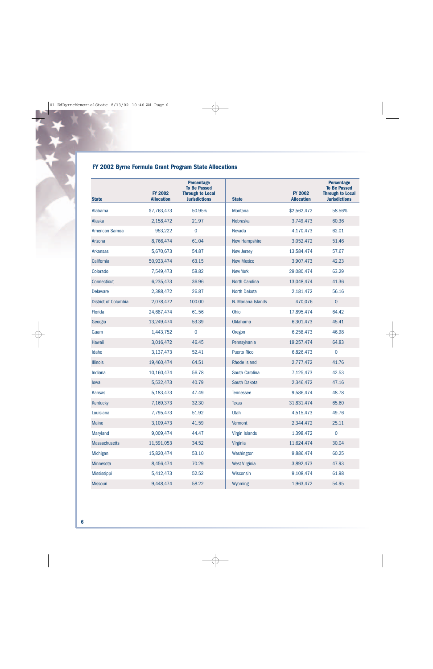### **FY 2002 Byrne Formula Grant Program State Allocations**

| <b>State</b>                | <b>FY 2002</b><br><b>Allocation</b> | <b>Percentage</b><br><b>To Be Passed</b><br><b>Through to Local</b><br><b>Jurisdictions</b> | <b>State</b>          | <b>FY 2002</b><br><b>Allocation</b> | <b>Percentage</b><br><b>To Be Passed</b><br><b>Through to Local</b><br><b>Jurisdictions</b> |
|-----------------------------|-------------------------------------|---------------------------------------------------------------------------------------------|-----------------------|-------------------------------------|---------------------------------------------------------------------------------------------|
| Alabama                     | \$7,763,473                         | 50.95%                                                                                      | <b>Montana</b>        | \$2,562,472                         | 58.56%                                                                                      |
| Alaska                      | 2,158,472                           | 21.97                                                                                       | <b>Nebraska</b>       | 3,749,473                           | 60.36                                                                                       |
| American Samoa              | 953,222                             | $\mathbf 0$                                                                                 | Nevada                | 4,170,473                           | 62.01                                                                                       |
| Arizona                     | 8,766,474                           | 61.04                                                                                       | <b>New Hampshire</b>  | 3,052,472                           | 51.46                                                                                       |
| <b>Arkansas</b>             | 5,670,673                           | 54.87                                                                                       | <b>New Jersey</b>     | 13,584,474                          | 57.67                                                                                       |
| California                  | 50,933,474                          | 63.15                                                                                       | <b>New Mexico</b>     | 3,907,473                           | 42.23                                                                                       |
| Colorado                    | 7,549,473                           | 58.82                                                                                       | <b>New York</b>       | 29,080,474                          | 63.29                                                                                       |
| Connecticut                 | 6,235,473                           | 36.96                                                                                       | North Carolina        | 13,048,474                          | 41.36                                                                                       |
| <b>Delaware</b>             | 2,388,472                           | 26.87                                                                                       | North Dakota          | 2,181,472                           | 56.16                                                                                       |
| <b>District of Columbia</b> | 2,078,472                           | 100.00                                                                                      | N. Mariana Islands    | 470,076                             | $\pmb{0}$                                                                                   |
| Florida                     | 24,687,474                          | 61.56                                                                                       | Ohio                  | 17,895,474                          | 64.42                                                                                       |
| Georgia                     | 13,249,474                          | 53.39                                                                                       | <b>Oklahoma</b>       | 6,301,473                           | 45.41                                                                                       |
| Guam                        | 1,443,752                           | $\mathbf 0$                                                                                 | Oregon                | 6,258,473                           | 46.98                                                                                       |
| Hawaii                      | 3,016,472                           | 46.45                                                                                       | Pennsylvania          | 19,257,474                          | 64.83                                                                                       |
| Idaho                       | 3,137,473                           | 52.41                                                                                       | <b>Puerto Rico</b>    | 6,826,473                           | $\pmb{0}$                                                                                   |
| <b>Illinois</b>             | 19,460,474                          | 64.51                                                                                       | <b>Rhode Island</b>   | 2,777,472                           | 41.76                                                                                       |
| Indiana                     | 10,160,474                          | 56.78                                                                                       | South Carolina        | 7,125,473                           | 42.53                                                                                       |
| lowa                        | 5,532,473                           | 40.79                                                                                       | South Dakota          | 2,346,472                           | 47.16                                                                                       |
| <b>Kansas</b>               | 5,183,473                           | 47.49                                                                                       | <b>Tennessee</b>      | 9,586,474                           | 48.78                                                                                       |
| Kentucky                    | 7,169,373                           | 32.30                                                                                       | <b>Texas</b>          | 31,831,474                          | 65.60                                                                                       |
| Louisiana                   | 7,795,473                           | 51.92                                                                                       | Utah                  | 4,515,473                           | 49.76                                                                                       |
| <b>Maine</b>                | 3,109,473                           | 41.59                                                                                       | Vermont               | 2,344,472                           | 25.11                                                                                       |
| Maryland                    | 9,009,474                           | 44.47                                                                                       | <b>Virgin Islands</b> | 1,398,472                           | $\mathbf 0$                                                                                 |
| <b>Massachusetts</b>        | 11,591,053                          | 34.52                                                                                       | Virginia              | 11,624,474                          | 30.04                                                                                       |
| Michigan                    | 15,820,474                          | 53.10                                                                                       | Washington            | 9,886,474                           | 60.25                                                                                       |
| Minnesota                   | 8,456,474                           | 70.29                                                                                       | <b>West Virginia</b>  | 3,892,473                           | 47.93                                                                                       |
| Mississippi                 | 5,412,473                           | 52.52                                                                                       | Wisconsin             | 9,108,474                           | 61.98                                                                                       |
| Missouri                    | 9,448,474                           | 58.22                                                                                       | Wyoming               | 1,963,472                           | 54.95                                                                                       |